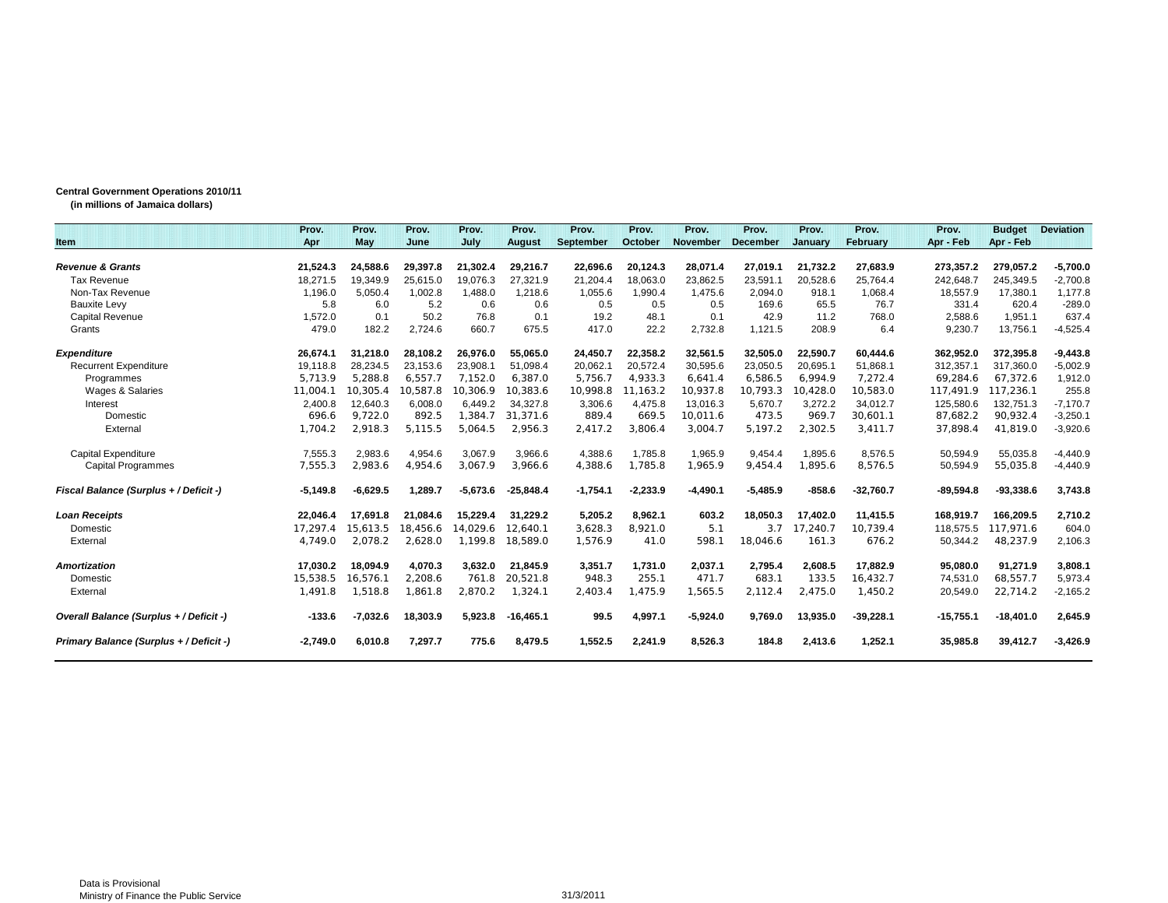## **Central Government Operations 2010/11**

**(in millions of Jamaica dollars)**

|                                         | Prov.      | Prov.      | Prov.    | Prov.      | Prov.         | Prov.      | Prov.      | Prov.           | Prov.           | Prov.    | Prov.       | Prov.       | <b>Budget</b> | <b>Deviation</b> |
|-----------------------------------------|------------|------------|----------|------------|---------------|------------|------------|-----------------|-----------------|----------|-------------|-------------|---------------|------------------|
| Item                                    | Apr        | May        | June     | July       | <b>August</b> | September  | October    | <b>November</b> | <b>December</b> | January  | February    | Apr - Feb   | Apr - Feb     |                  |
| <b>Revenue &amp; Grants</b>             | 21,524.3   | 24,588.6   | 29,397.8 | 21,302.4   | 29,216.7      | 22,696.6   | 20,124.3   | 28,071.4        | 27,019.1        | 21,732.2 | 27,683.9    | 273,357.2   | 279,057.2     | $-5,700.0$       |
| <b>Tax Revenue</b>                      | 18,271.5   | 19,349.9   | 25,615.0 | 19,076.3   | 27,321.9      | 21,204.4   | 18,063.0   | 23,862.5        | 23,591.1        | 20,528.6 | 25,764.4    | 242,648.7   | 245,349.5     | $-2,700.8$       |
| Non-Tax Revenue                         | 1.196.0    | 5.050.4    | 1.002.8  | 1.488.0    | 1.218.6       | 1,055.6    | 1.990.4    | 1,475.6         | 2,094.0         | 918.1    | 1,068.4     | 18,557.9    | 17,380.1      | 1,177.8          |
| <b>Bauxite Levy</b>                     | 5.8        | 6.0        | 5.2      | 0.6        | 0.6           | 0.5        | 0.5        | 0.5             | 169.6           | 65.5     | 76.7        | 331.4       | 620.4         | $-289.0$         |
| <b>Capital Revenue</b>                  | 1,572.0    | 0.1        | 50.2     | 76.8       | 0.1           | 19.2       | 48.1       | 0.1             | 42.9            | 11.2     | 768.0       | 2,588.6     | 1,951.1       | 637.4            |
| Grants                                  | 479.0      | 182.2      | 2,724.6  | 660.7      | 675.5         | 417.0      | 22.2       | 2,732.8         | 1,121.5         | 208.9    | 6.4         | 9,230.7     | 13,756.1      | $-4,525.4$       |
| <b>Expenditure</b>                      | 26,674.1   | 31.218.0   | 28.108.2 | 26.976.0   | 55.065.0      | 24,450.7   | 22,358.2   | 32,561.5        | 32,505.0        | 22,590.7 | 60.444.6    | 362,952.0   | 372,395.8     | $-9,443.8$       |
| <b>Recurrent Expenditure</b>            | 19,118.8   | 28.234.5   | 23.153.6 | 23,908.1   | 51.098.4      | 20,062.1   | 20,572.4   | 30,595.6        | 23,050.5        | 20,695.1 | 51,868.1    | 312,357.1   | 317.360.0     | $-5,002.9$       |
| Programmes                              | 5,713.9    | 5.288.8    | 6,557.7  | 7.152.0    | 6.387.0       | 5.756.7    | 4,933.3    | 6,641.4         | 6,586.5         | 6,994.9  | 7,272.4     | 69,284.6    | 67,372.6      | 1,912.0          |
| Wages & Salaries                        | 11,004.1   | 10.305.4   | 10.587.8 | 10.306.9   | 10,383.6      | 10,998.8   | 1.163.2    | 10,937.8        | 10,793.3        | 10.428.0 | 10.583.0    | 117,491.9   | 117.236.1     | 255.8            |
| Interest                                | 2,400.8    | 12,640.3   | 6,008.0  | 6.449.2    | 34,327.8      | 3,306.6    | 4,475.8    | 13,016.3        | 5,670.7         | 3,272.2  | 34,012.7    | 125,580.6   | 132,751.3     | $-7,170.7$       |
| Domestic                                | 696.6      | 9,722.0    | 892.5    | 1,384.7    | 31,371.6      | 889.4      | 669.5      | 10,011.6        | 473.5           | 969.7    | 30,601.1    | 87,682.2    | 90,932.4      | $-3,250.1$       |
| External                                | 1,704.2    | 2,918.3    | 5,115.5  | 5,064.5    | 2,956.3       | 2,417.2    | 3,806.4    | 3,004.7         | 5,197.2         | 2,302.5  | 3,411.7     | 37,898.4    | 41,819.0      | $-3,920.6$       |
| Capital Expenditure                     | 7,555.3    | 2,983.6    | 4,954.6  | 3,067.9    | 3,966.6       | 4,388.6    | 1,785.8    | 1,965.9         | 9,454.4         | 1,895.6  | 8,576.5     | 50,594.9    | 55,035.8      | $-4,440.9$       |
| <b>Capital Programmes</b>               | 7,555.3    | 2,983.6    | 4,954.6  | 3.067.9    | 3.966.6       | 4,388.6    | 1,785.8    | 1,965.9         | 9,454.4         | 1,895.6  | 8,576.5     | 50,594.9    | 55,035.8      | $-4,440.9$       |
| Fiscal Balance (Surplus + / Deficit -)  | $-5,149.8$ | $-6,629.5$ | 1,289.7  | $-5,673.6$ | $-25.848.4$   | $-1,754.1$ | $-2,233.9$ | $-4,490.1$      | $-5,485.9$      | $-858.6$ | $-32,760.7$ | $-89,594.8$ | $-93,338.6$   | 3,743.8          |
| <b>Loan Receipts</b>                    | 22,046.4   | 17.691.8   | 21.084.6 | 15,229.4   | 31,229.2      | 5,205.2    | 8,962.1    | 603.2           | 18,050.3        | 17,402.0 | 11,415.5    | 168,919.7   | 166,209.5     | 2,710.2          |
| Domestic                                | 17,297.4   | 15,613.5   | 18.456.6 | 14.029.6   | 12.640.1      | 3,628.3    | 8.921.0    | 5.1             | 3.7             | 17.240.7 | 10,739.4    | 118,575.5   | 117,971.6     | 604.0            |
| External                                | 4,749.0    | 2,078.2    | 2,628.0  | 1,199.8    | 18,589.0      | 1,576.9    | 41.0       | 598.1           | 18,046.6        | 161.3    | 676.2       | 50,344.2    | 48,237.9      | 2,106.3          |
| <b>Amortization</b>                     | 17.030.2   | 18.094.9   | 4.070.3  | 3.632.0    | 21.845.9      | 3.351.7    | 1.731.0    | 2.037.1         | 2.795.4         | 2.608.5  | 17.882.9    | 95.080.0    | 91,271.9      | 3,808.1          |
| Domestic                                | 15,538.5   | 16,576.1   | 2,208.6  | 761.8      | 20,521.8      | 948.3      | 255.1      | 471.7           | 683.1           | 133.5    | 16,432.7    | 74,531.0    | 68,557.7      | 5,973.4          |
| External                                | 1,491.8    | 1,518.8    | 1,861.8  | 2,870.2    | 1,324.1       | 2,403.4    | .475.9     | 1,565.5         | 2,112.4         | 2,475.0  | 1,450.2     | 20,549.0    | 22,714.2      | $-2,165.2$       |
| Overall Balance (Surplus + / Deficit -) | $-133.6$   | $-7,032.6$ | 18,303.9 | 5.923.8    | $-16.465.1$   | 99.5       | 4,997.1    | $-5,924.0$      | 9.769.0         | 13,935.0 | $-39,228.1$ | $-15,755.1$ | $-18.401.0$   | 2,645.9          |
| Primary Balance (Surplus + / Deficit -) | $-2.749.0$ | 6,010.8    | 7,297.7  | 775.6      | 8,479.5       | 1,552.5    | 2,241.9    | 8,526.3         | 184.8           | 2,413.6  | 1,252.1     | 35,985.8    | 39,412.7      | $-3,426.9$       |